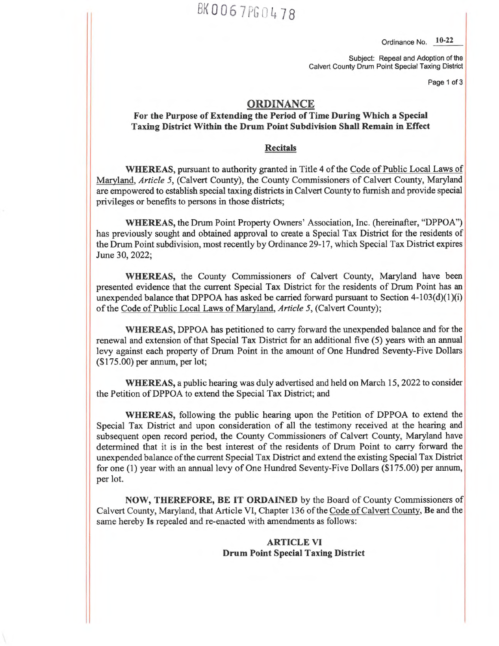# BK0067PG0478

#### Ordinance No. 10-22

Subject: Repeal and Adoption of the Calvert County Drum Point Special Taxing District

Page 1 of 3

### **ORDINANCE**

**For the Purpose of Extending the Period of Time During Which a Special Taxing District Within the Drum Point Subdivision Shall Remain in Effect** 

#### **Recitals**

**WHEREAS,** pursuant to authority granted in Title 4 of the Code of Public Local Laws of Maryland, *Article* 5, (Calvert County), the County Commissioners of Calvert County, Maryland are empowered to establish special taxing districts in Calvert County to furnish and provide special privileges or benefits to persons in those districts;

**WHEREAS,** the Drum Point Property Owners' Association, Inc. (hereinafter, "DPPOA") has previously sought and obtained approval to create a Special Tax District for the residents of the Drum Point subdivision, most recently by Ordinance 29-17, which Special Tax District expires June 30, 2022;

**WHEREAS,** the County Commissioners of Calvert County, Maryland have been presented evidence that the current Special Tax District for the residents of Drum Point has an unexpended balance that DPPOA has asked be carried forward pursuant to Section  $4-103(d)(1)(i)$ of the Code of Public Local Laws of Maryland, *Article 5,* (Calvert County);

**WHEREAS,** DPPOA has petitioned to carry forward the unexpended balance and for the renewal and extension of that Special Tax District for an additional five (5) years with an annual levy against each property of Drum Point in the amount of One Hundred Seventy-Five Dollars (\$175.00) per annum, per lot;

**WHEREAS,** a public hearing was duly advertised and held on March 15, 2022 to consider the Petition of DPPOA to extend the Special Tax District; and

**WHEREAS,** following the public hearing upon the Petition of DPPOA to extend the Special Tax District and upon consideration of all the testimony received at the hearing and subsequent open record period, the County Commissioners of Calvert County, Maryland have determined that it is in the best interest of the residents of Drum Point to carry forward the unexpended balance of the current Special Tax District and extend the existing Special Tax District for one (1) year with an annual levy of One Hundred Seventy-Five Dollars (\$175.00) per annum, per lot.

**NOW, THEREFORE, BE IT ORDAINED** by the Board of County Commissioners of Calvert County, Maryland, that Article VI, Chapter 136 of the Code of Calvert County, Be and the same hereby **Is** repealed and re-enacted with amendments as follows:

### **ARTICLE VI Drum Point Special Taxing District**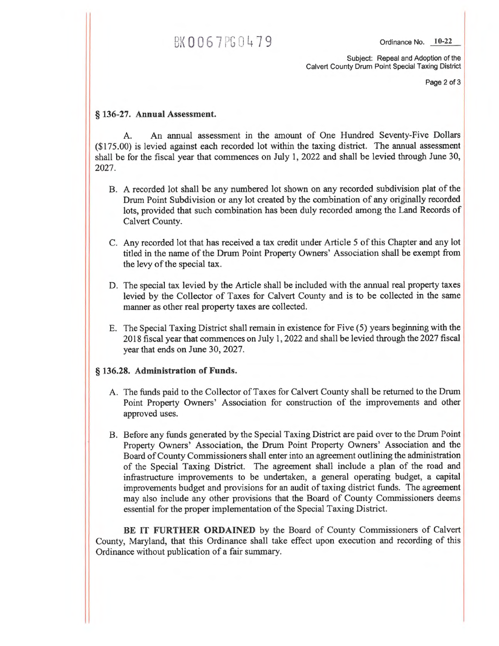## $\frac{10-22}{ }$  Ordinance No.  $\frac{10-22}{ }$

Subject: Repeal and Adoption of the Calvert County Drum Point Special Taxing District

Page 2 of 3

### **§ 136-27. Annual Assessment.**

A. An annual assessment in the amount of One Hundred Seventy-Five Dollars (\$175.00) is levied against each recorded lot within the taxing district. The annual assessment shall be for the fiscal year that commences on July 1, 2022 and shall be levied through June 30, 2027.

- B. A recorded lot shall be any numbered lot shown on any recorded subdivision plat of the Drum Point Subdivision or any lot created by the combination of any originally recorded lots, provided that such combination has been duly recorded among the Land Records of Calvert County.
- C. Any recorded lot that has received a tax credit under Article 5 of this Chapter and any lot titled in the name of the Drum Point Property Owners' Association shall be exempt from the levy of the special tax.
- D. The special tax levied by the Article shall be included with the annual real property taxes levied by the Collector of Taxes for Calvert County and is to be collected in the same manner as other real property taxes are collected.
- E. The Special Taxing District shall remain in existence for Five (5) years beginning with the 2018 fiscal year that commences on July 1, 2022 and shall be levied through the 2027 fiscal year that ends on June 30, 2027.

### **§ 136.28. Administration of Funds.**

- A. The funds paid to the Collector of Taxes for Calvert County shall be returned to the Drum Point Property Owners' Association for construction of the improvements and other approved uses.
- B. Before any funds generated by the Special Taxing District are paid over to the Drum Point Property Owners' Association, the Drum Point Property Owners' Association and the Board of County Commissioners shall enter into an agreement outlining the administration of the Special Taxing District. The agreement shall include a plan of the road and infrastructure improvements to be undertaken, a general operating budget, a capital improvements budget and provisions for an audit of taxing district funds. The agreement may also include any other provisions that the Board of County Commissioners deems essential for the proper implementation of the Special Taxing District.

**BE IT FURTHER ORDAINED** by the Board of County Commissioners of Calvert County, Maryland, that this Ordinance shall take effect upon execution and recording of this Ordinance without publication of a fair summary.